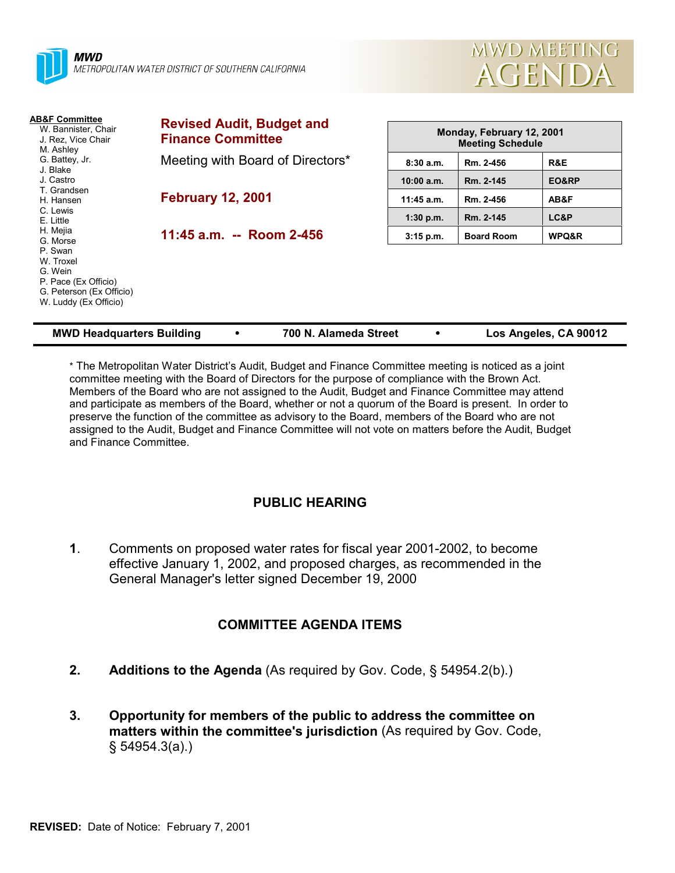



| <b>AB&amp;F Committee</b><br>W. Bannister, Chair<br>J. Rez. Vice Chair<br>M. Ashley                                                  | <b>Revised Audit, Budget and</b><br><b>Finance Committee</b> | Monday, February 12, 2001<br><b>Meeting Schedule</b> |                   |                  |
|--------------------------------------------------------------------------------------------------------------------------------------|--------------------------------------------------------------|------------------------------------------------------|-------------------|------------------|
| G. Battey, Jr.<br>J. Blake                                                                                                           | Meeting with Board of Directors*                             | 8:30a.m.                                             | Rm. 2-456         | R&E              |
| J. Castro                                                                                                                            |                                                              | $10:00$ a.m.                                         | Rm. 2-145         | EO&RP            |
| T. Grandsen<br>H. Hansen                                                                                                             | <b>February 12, 2001</b>                                     | 11:45 a.m.                                           | Rm. 2-456         | AB&F             |
| C. Lewis<br>E. Little                                                                                                                |                                                              | $1:30$ p.m.                                          | Rm. 2-145         | LC&P             |
| H. Mejia<br>G. Morse<br>P. Swan<br>W. Troxel<br>G. Wein<br>P. Pace (Ex Officio)<br>G. Peterson (Ex Officio)<br>W. Luddy (Ex Officio) | 11:45 a.m. -- Room 2-456                                     | 3:15 p.m.                                            | <b>Board Room</b> | <b>WPQ&amp;R</b> |

| <b>MWD Headquarters Building</b> |  | 700 N. Alameda Street |  | Los Angeles, CA 90012 |
|----------------------------------|--|-----------------------|--|-----------------------|
|----------------------------------|--|-----------------------|--|-----------------------|

\* The Metropolitan Water District's Audit, Budget and Finance Committee meeting is noticed as a joint committee meeting with the Board of Directors for the purpose of compliance with the Brown Act. Members of the Board who are not assigned to the Audit, Budget and Finance Committee may attend and participate as members of the Board, whether or not a quorum of the Board is present. In order to preserve the function of the committee as advisory to the Board, members of the Board who are not assigned to the Audit, Budget and Finance Committee will not vote on matters before the Audit, Budget and Finance Committee.

# **PUBLIC HEARING**

**1**. Comments on proposed water rates for fiscal year 2001-2002, to become effective January 1, 2002, and proposed charges, as recommended in the General Manager's letter signed December 19, 2000

# **COMMITTEE AGENDA ITEMS**

- **2. Additions to the Agenda** (As required by Gov. Code, § 54954.2(b).)
- **3. Opportunity for members of the public to address the committee on matters within the committee's jurisdiction** (As required by Gov. Code, § 54954.3(a).)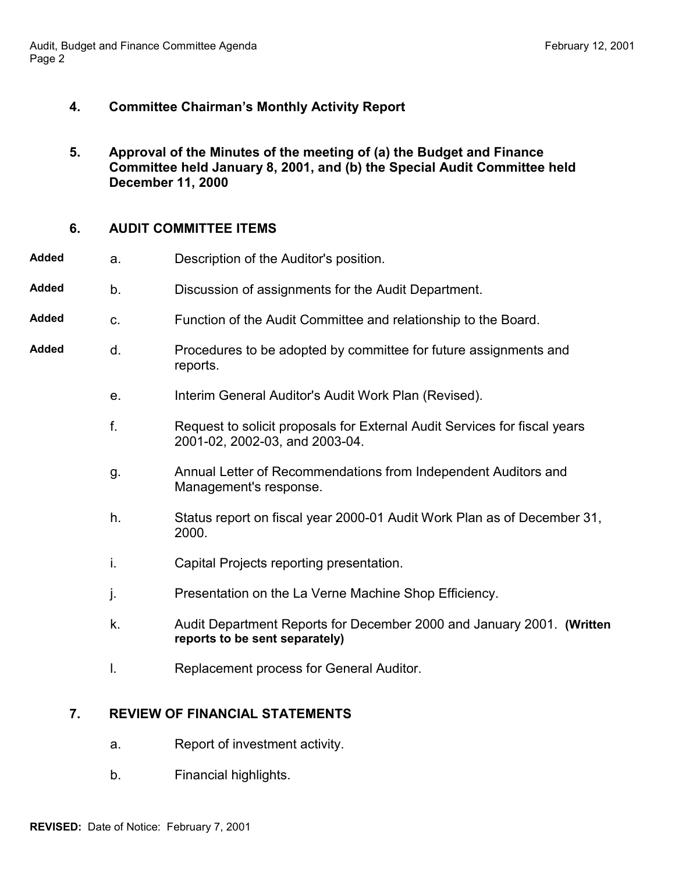# **4. Committee Chairman's Monthly Activity Report**

**5. Approval of the Minutes of the meeting of (a) the Budget and Finance Committee held January 8, 2001, and (b) the Special Audit Committee held December 11, 2000**

### **6. AUDIT COMMITTEE ITEMS**

- **Added** a. Description of the Auditor's position.
- **Added** b. Discussion of assignments for the Audit Department.
- **Added** c. Function of the Audit Committee and relationship to the Board.
- **Added** d. Procedures to be adopted by committee for future assignments and reports.
	- e. Interim General Auditor's Audit Work Plan (Revised).
	- f. Request to solicit proposals for External Audit Services for fiscal years 2001-02, 2002-03, and 2003-04.
	- g. Annual Letter of Recommendations from Independent Auditors and Management's response.
	- h. Status report on fiscal year 2000-01 Audit Work Plan as of December 31, 2000.
	- i. Capital Projects reporting presentation.
	- j. Presentation on the La Verne Machine Shop Efficiency.
	- k. Audit Department Reports for December 2000 and January 2001. **(Written reports to be sent separately)**
	- l. Replacement process for General Auditor.

# **7. REVIEW OF FINANCIAL STATEMENTS**

- a. Report of investment activity.
- b. Financial highlights.